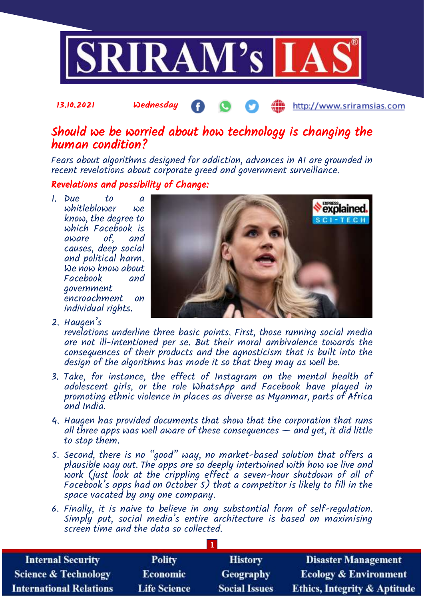

## Should we be worried about how technology is changing the human condition?

Fears about algorithms designed for addiction, advances in AI are grounded in recent revelations about corporate greed and government surveillance.

## Revelations and possibility of Change:

13.10.2021 Wednesday

1. Due to a whitleblower we know, the degree to which Facebook is aware  $of$ , causes, deep social and political harm. We now know about  $Facebook$ government encroachment on individual rights.



http://www.sriramsias.com

2. Haugen's

revelations underline three basic points. First, those running social media are not ill-intentioned per se. But their moral ambivalence towards the consequences of their products and the agnosticism that is built into the design of the algorithms has made it so that they may as well be.

- 3. Take, for instance, the effect of Instagram on the mental health of adolescent girls, or the role WhatsApp and Facebook have played in promoting ethnic violence in places as diverse as Myanmar, parts of Africa and India.
- 4. Haugen has provided documents that show that the corporation that runs all three apps was well aware of these consequences  $-$  and yet, it did little to stop them.
- 5. Second, there is no "good" way, no market-based solution that offers a plausible way out. The apps are so deeply intertwined with how we live and work (just look at the crippling effect a seven-hour shutdown of all of Facebook's apps had on October 5) that a competitor is likely to fill in the space vacated by any one company.
- 6. Finally, it is naive to believe in any substantial form of self-regulation. Simply put, social media's entire architecture is based on maximising screen time and the data so collected.

**1**

| <b>Internal Security</b>        | <b>Polity</b>       | <b>History</b>       | <b>Disaster Management</b>              |
|---------------------------------|---------------------|----------------------|-----------------------------------------|
| <b>Science &amp; Technology</b> | <b>Economic</b>     | <b>Geography</b>     | <b>Ecology &amp; Environment</b>        |
| <b>International Relations</b>  | <b>Life Science</b> | <b>Social Issues</b> | <b>Ethics, Integrity &amp; Aptitude</b> |